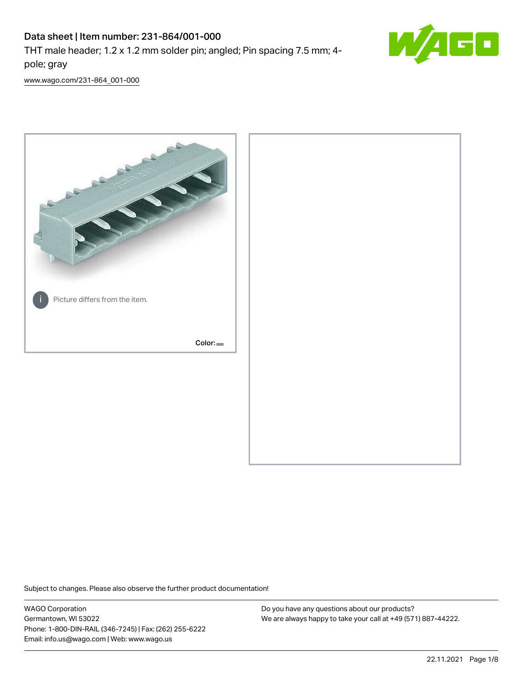# Data sheet | Item number: 231-864/001-000

THT male header; 1.2 x 1.2 mm solder pin; angled; Pin spacing 7.5 mm; 4 pole; gray



[www.wago.com/231-864\\_001-000](http://www.wago.com/231-864_001-000)



Subject to changes. Please also observe the further product documentation!

WAGO Corporation Germantown, WI 53022 Phone: 1-800-DIN-RAIL (346-7245) | Fax: (262) 255-6222 Email: info.us@wago.com | Web: www.wago.us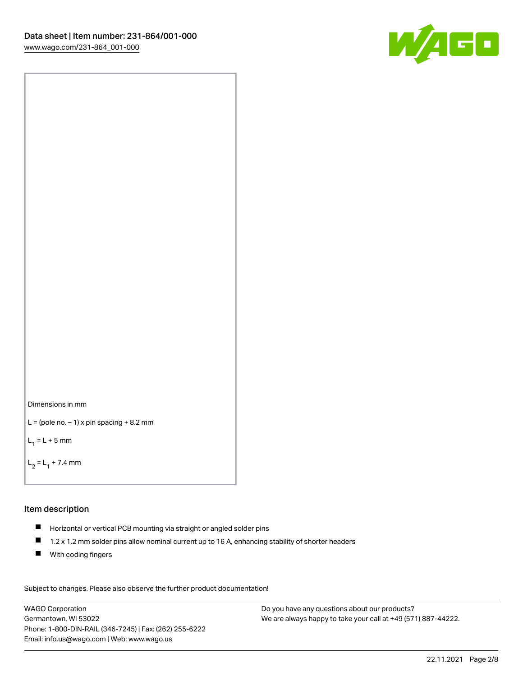



```
L = (pole no. -1) x pin spacing +8.2 mm
```
 $L_1 = L + 5$  mm

```
L_2 = L_1 + 7.4 mm
```
## Item description

- Horizontal or vertical PCB mounting via straight or angled solder pins
- $\blacksquare$ 1.2 x 1.2 mm solder pins allow nominal current up to 16 A, enhancing stability of shorter headers
- **With coding fingers**

Subject to changes. Please also observe the further product documentation! Data

WAGO Corporation Germantown, WI 53022 Phone: 1-800-DIN-RAIL (346-7245) | Fax: (262) 255-6222 Email: info.us@wago.com | Web: www.wago.us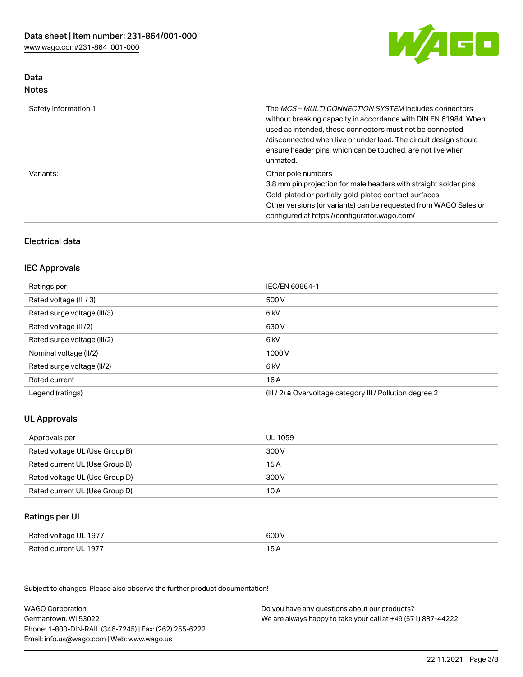

### Data Notes

| Safety information 1 | The <i>MCS – MULTI CONNECTION SYSTEM</i> includes connectors<br>without breaking capacity in accordance with DIN EN 61984. When<br>used as intended, these connectors must not be connected<br>/disconnected when live or under load. The circuit design should<br>ensure header pins, which can be touched, are not live when<br>unmated. |
|----------------------|--------------------------------------------------------------------------------------------------------------------------------------------------------------------------------------------------------------------------------------------------------------------------------------------------------------------------------------------|
| Variants:            | Other pole numbers<br>3.8 mm pin projection for male headers with straight solder pins<br>Gold-plated or partially gold-plated contact surfaces<br>Other versions (or variants) can be requested from WAGO Sales or<br>configured at https://configurator.wago.com/                                                                        |

## Electrical data

## IEC Approvals

| Ratings per                 | IEC/EN 60664-1                                                        |
|-----------------------------|-----------------------------------------------------------------------|
| Rated voltage (III / 3)     | 500 V                                                                 |
| Rated surge voltage (III/3) | 6 <sub>k</sub> V                                                      |
| Rated voltage (III/2)       | 630 V                                                                 |
| Rated surge voltage (III/2) | 6 kV                                                                  |
| Nominal voltage (II/2)      | 1000V                                                                 |
| Rated surge voltage (II/2)  | 6 kV                                                                  |
| Rated current               | 16 A                                                                  |
| Legend (ratings)            | $(III / 2)$ $\triangle$ Overvoltage category III / Pollution degree 2 |

## UL Approvals

| Approvals per                  | UL 1059 |
|--------------------------------|---------|
| Rated voltage UL (Use Group B) | 300 V   |
| Rated current UL (Use Group B) | 15 A    |
| Rated voltage UL (Use Group D) | 300 V   |
| Rated current UL (Use Group D) | 10 A    |

### Ratings per UL

| Rated voltage UL 1977 | 600 V |
|-----------------------|-------|
| Rated current UL 1977 |       |

Subject to changes. Please also observe the further product documentation!

| <b>WAGO Corporation</b>                                | Do you have any questions about our products?                 |
|--------------------------------------------------------|---------------------------------------------------------------|
| Germantown, WI 53022                                   | We are always happy to take your call at +49 (571) 887-44222. |
| Phone: 1-800-DIN-RAIL (346-7245)   Fax: (262) 255-6222 |                                                               |
| Email: info.us@wago.com   Web: www.wago.us             |                                                               |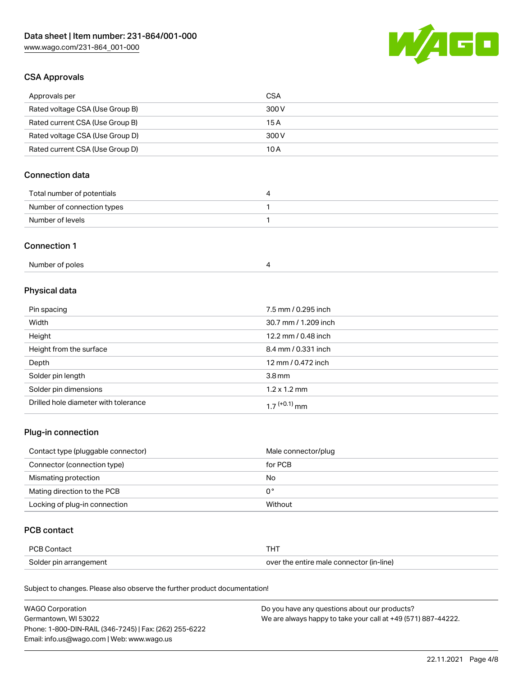

### CSA Approvals

| Approvals per                   | CSA   |
|---------------------------------|-------|
| Rated voltage CSA (Use Group B) | 300 V |
| Rated current CSA (Use Group B) | 15 A  |
| Rated voltage CSA (Use Group D) | 300 V |
| Rated current CSA (Use Group D) | 10 A  |

## Connection data

| Total number of potentials |  |
|----------------------------|--|
| Number of connection types |  |
| Number of levels           |  |

#### Connection 1

# Physical data

| Pin spacing                          | 7.5 mm / 0.295 inch  |
|--------------------------------------|----------------------|
| Width                                | 30.7 mm / 1.209 inch |
| Height                               | 12.2 mm / 0.48 inch  |
| Height from the surface              | 8.4 mm / 0.331 inch  |
| Depth                                | 12 mm / 0.472 inch   |
| Solder pin length                    | 3.8 <sub>mm</sub>    |
| Solder pin dimensions                | $1.2 \times 1.2$ mm  |
| Drilled hole diameter with tolerance | $17^{(+0.1)}$ mm     |

## Plug-in connection

| Contact type (pluggable connector) | Male connector/plug |
|------------------------------------|---------------------|
| Connector (connection type)        | for PCB             |
| Mismating protection               | No                  |
| Mating direction to the PCB        | 0°                  |
| Locking of plug-in connection      | Without             |

### PCB contact

| PCB Contact            |                                          |
|------------------------|------------------------------------------|
| Solder pin arrangement | over the entire male connector (in-line) |

Subject to changes. Please also observe the further product documentation!

| <b>WAGO Corporation</b>                                | Do you have any questions about our products?                 |
|--------------------------------------------------------|---------------------------------------------------------------|
| Germantown, WI 53022                                   | We are always happy to take your call at +49 (571) 887-44222. |
| Phone: 1-800-DIN-RAIL (346-7245)   Fax: (262) 255-6222 |                                                               |
| Email: info.us@wago.com   Web: www.wago.us             |                                                               |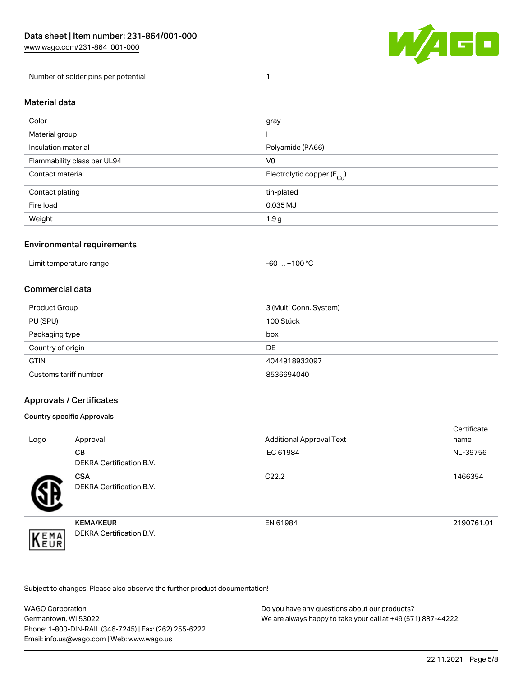

Number of solder pins per potential 1

#### Material data

| Color                       | gray                                    |
|-----------------------------|-----------------------------------------|
| Material group              |                                         |
| Insulation material         | Polyamide (PA66)                        |
| Flammability class per UL94 | V <sub>0</sub>                          |
| Contact material            | Electrolytic copper ( $E_{\text{Cu}}$ ) |
| Contact plating             | tin-plated                              |
| Fire load                   | 0.035 MJ                                |
| Weight                      | 1.9 <sub>g</sub>                        |

### Environmental requirements

Limit temperature range  $-60... +100$  °C

### Commercial data

| Product Group         | 3 (Multi Conn. System) |
|-----------------------|------------------------|
| PU (SPU)              | 100 Stück              |
| Packaging type        | box                    |
| Country of origin     | DE                     |
| <b>GTIN</b>           | 4044918932097          |
| Customs tariff number | 8536694040             |

### Approvals / Certificates

#### Country specific Approvals

| Logo                | Approval                                            | <b>Additional Approval Text</b> | Certificate<br>name |
|---------------------|-----------------------------------------------------|---------------------------------|---------------------|
|                     | <b>CB</b><br><b>DEKRA Certification B.V.</b>        | IEC 61984                       | NL-39756            |
|                     | <b>CSA</b><br>DEKRA Certification B.V.              | C <sub>22.2</sub>               | 1466354             |
| EMA<br><b>INEUR</b> | <b>KEMA/KEUR</b><br><b>DEKRA Certification B.V.</b> | EN 61984                        | 2190761.01          |

Subject to changes. Please also observe the further product documentation!

| <b>WAGO Corporation</b>                                | Do you have any questions about our products?                 |
|--------------------------------------------------------|---------------------------------------------------------------|
| Germantown, WI 53022                                   | We are always happy to take your call at +49 (571) 887-44222. |
| Phone: 1-800-DIN-RAIL (346-7245)   Fax: (262) 255-6222 |                                                               |
| Email: info.us@wago.com   Web: www.wago.us             |                                                               |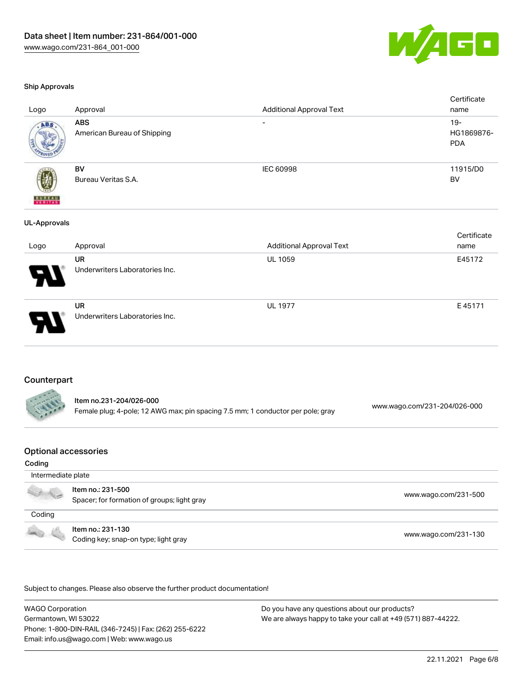

#### Ship Approvals

| Logo                     | Approval                                    | <b>Additional Approval Text</b> | Certificate<br>name                |
|--------------------------|---------------------------------------------|---------------------------------|------------------------------------|
| ABS                      | <b>ABS</b><br>American Bureau of Shipping   | $\overline{\phantom{a}}$        | $19 -$<br>HG1869876-<br><b>PDA</b> |
| <b>BUREAU</b><br>VERITAS | BV<br>Bureau Veritas S.A.                   | IEC 60998                       | 11915/D0<br><b>BV</b>              |
| <b>UL-Approvals</b>      |                                             |                                 |                                    |
|                          |                                             |                                 | Certificate                        |
| Logo                     | Approval                                    | <b>Additional Approval Text</b> | name                               |
|                          | <b>UR</b><br>Underwriters Laboratories Inc. | UL 1059                         | E45172                             |
|                          | UR<br>Underwriters Laboratories Inc.        | <b>UL 1977</b>                  | E45171                             |

#### Counterpart

| Item no.231-204/026-000                                                         |                              |
|---------------------------------------------------------------------------------|------------------------------|
| Female plug; 4-pole; 12 AWG max; pin spacing 7.5 mm; 1 conductor per pole; gray | www.wago.com/231-204/026-000 |

### Optional accessories

#### Coding

| Intermediate plate |                                                                  |                      |
|--------------------|------------------------------------------------------------------|----------------------|
|                    | ltem no.: 231-500<br>Spacer; for formation of groups; light gray | www.wago.com/231-500 |
| Coding             |                                                                  |                      |
| <b>CONTRACTOR</b>  | Item no.: 231-130<br>Coding key; snap-on type; light gray        | www.wago.com/231-130 |

.<br>Subject to changes. Please also observe the further product documentation!

WAGO Corporation Germantown, WI 53022 Phone: 1-800-DIN-RAIL (346-7245) | Fax: (262) 255-6222 Email: info.us@wago.com | Web: www.wago.us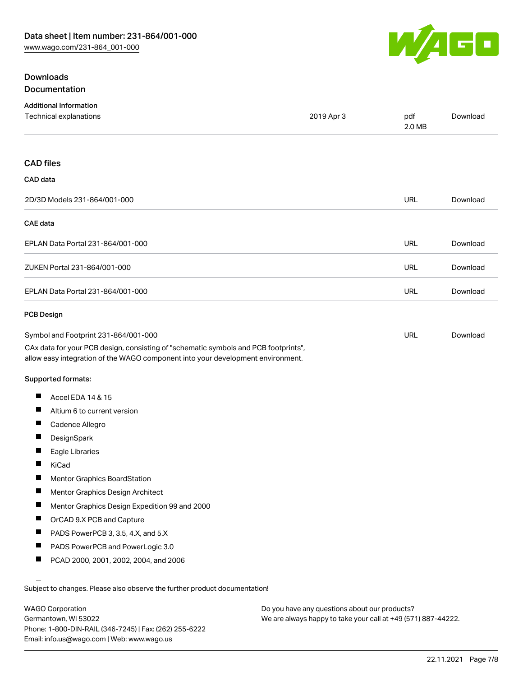

## **Downloads** Documentation

| <b>Additional Information</b><br>Technical explanations                                                                                                                                                        | 2019 Apr 3 | pdf<br>2.0 MB | Download |
|----------------------------------------------------------------------------------------------------------------------------------------------------------------------------------------------------------------|------------|---------------|----------|
| <b>CAD files</b>                                                                                                                                                                                               |            |               |          |
| CAD data                                                                                                                                                                                                       |            |               |          |
| 2D/3D Models 231-864/001-000                                                                                                                                                                                   |            | <b>URL</b>    | Download |
| <b>CAE</b> data                                                                                                                                                                                                |            |               |          |
| EPLAN Data Portal 231-864/001-000                                                                                                                                                                              |            | URL           | Download |
| ZUKEN Portal 231-864/001-000                                                                                                                                                                                   |            | <b>URL</b>    | Download |
| EPLAN Data Portal 231-864/001-000                                                                                                                                                                              |            | <b>URL</b>    | Download |
| <b>PCB Design</b>                                                                                                                                                                                              |            |               |          |
| Symbol and Footprint 231-864/001-000<br>CAx data for your PCB design, consisting of "schematic symbols and PCB footprints",<br>allow easy integration of the WAGO component into your development environment. |            | URL           | Download |
| Supported formats:                                                                                                                                                                                             |            |               |          |
| ш<br>Accel EDA 14 & 15                                                                                                                                                                                         |            |               |          |
| ш<br>Altium 6 to current version                                                                                                                                                                               |            |               |          |
| ш<br>Cadence Allegro                                                                                                                                                                                           |            |               |          |
| ш<br>DesignSpark                                                                                                                                                                                               |            |               |          |
| П<br>Eagle Libraries                                                                                                                                                                                           |            |               |          |
| KiCad                                                                                                                                                                                                          |            |               |          |
| H<br>Mentor Graphics BoardStation                                                                                                                                                                              |            |               |          |
| ш<br>Mentor Graphics Design Architect                                                                                                                                                                          |            |               |          |
| п<br>Mentor Graphics Design Expedition 99 and 2000                                                                                                                                                             |            |               |          |
|                                                                                                                                                                                                                |            |               |          |
| ш<br>OrCAD 9.X PCB and Capture                                                                                                                                                                                 |            |               |          |
| PADS PowerPCB 3, 3.5, 4.X, and 5.X                                                                                                                                                                             |            |               |          |
| ш<br>PADS PowerPCB and PowerLogic 3.0                                                                                                                                                                          |            |               |          |

WAGO Corporation Germantown, WI 53022 Phone: 1-800-DIN-RAIL (346-7245) | Fax: (262) 255-6222 Email: info.us@wago.com | Web: www.wago.us